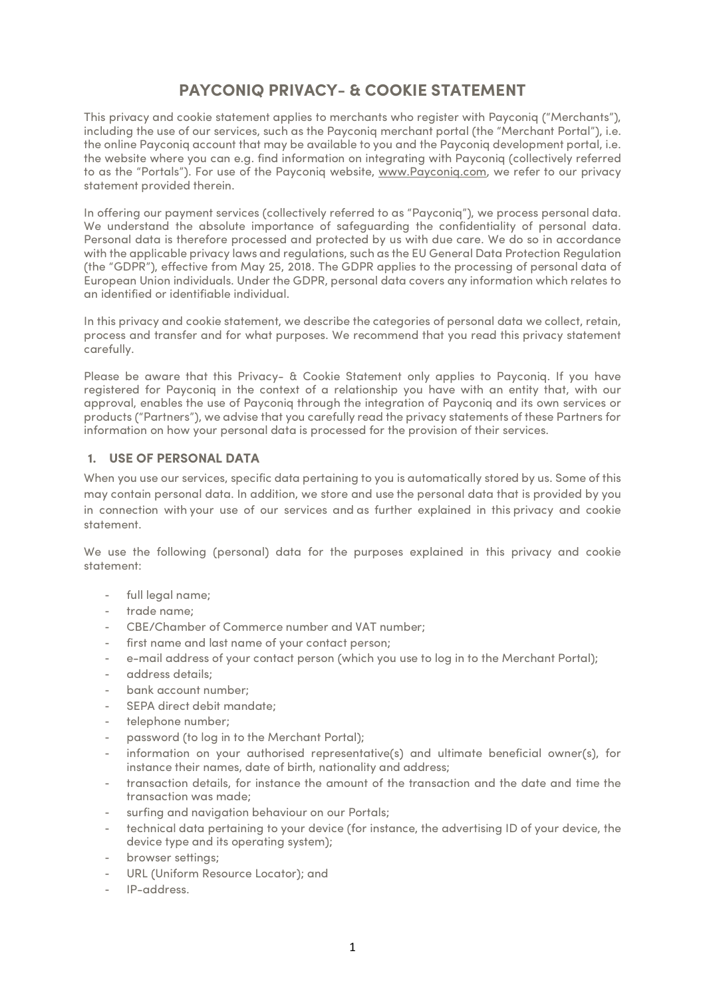# **PAYCONIQ PRIVACY- & COOKIE STATEMENT**

This privacy and cookie statement applies to merchants who register with Payconiq ("Merchants"), including the use of our services, such as the Payconiq merchant portal (the "Merchant Portal"), i.e. the online Payconiq account that may be available to you and the Payconiq development portal, i.e. the website where you can e.g. find information on integrating with Payconiq (collectively referred to as the "Portals"). For use of the Payconiq website, www.Payconiq.com, we refer to our privacy statement provided therein.

In offering our payment services (collectively referred to as "Payconiq"), we process personal data. We understand the absolute importance of safeguarding the confidentiality of personal data. Personal data is therefore processed and protected by us with due care. We do so in accordance with the applicable privacy laws and regulations, such as the EU General Data Protection Regulation (the "GDPR"), effective from May 25, 2018. The GDPR applies to the processing of personal data of European Union individuals. Under the GDPR, personal data covers any information which relates to an identified or identifiable individual.

In this privacy and cookie statement, we describe the categories of personal data we collect, retain, process and transfer and for what purposes. We recommend that you read this privacy statement carefully.

Please be aware that this Privacy- & Cookie Statement only applies to Payconiq. If you have registered for Payconiq in the context of a relationship you have with an entity that, with our approval, enables the use of Payconiq through the integration of Payconiq and its own services or products ("Partners"), we advise that you carefully read the privacy statements of these Partners for information on how your personal data is processed for the provision of their services.

## **1. USE OF PERSONAL DATA**

When you use our services, specific data pertaining to you is automatically stored by us. Some of this may contain personal data. In addition, we store and use the personal data that is provided by you in connection with your use of our services and as further explained in this privacy and cookie statement.

We use the following (personal) data for the purposes explained in this privacy and cookie statement:

- full legal name;
- trade name;
- CBE/Chamber of Commerce number and VAT number;
- first name and last name of your contact person;
- e-mail address of your contact person (which you use to log in to the Merchant Portal);
- address details;
- bank account number;
- SEPA direct debit mandate;
- telephone number:
- password (to log in to the Merchant Portal);
- information on your authorised representative(s) and ultimate beneficial owner(s), for instance their names, date of birth, nationality and address;
- transaction details, for instance the amount of the transaction and the date and time the transaction was made;
- surfing and navigation behaviour on our Portals;
- technical data pertaining to your device (for instance, the advertising ID of your device, the device type and its operating system);
- browser settings;
- URL (Uniform Resource Locator); and
- IP-address.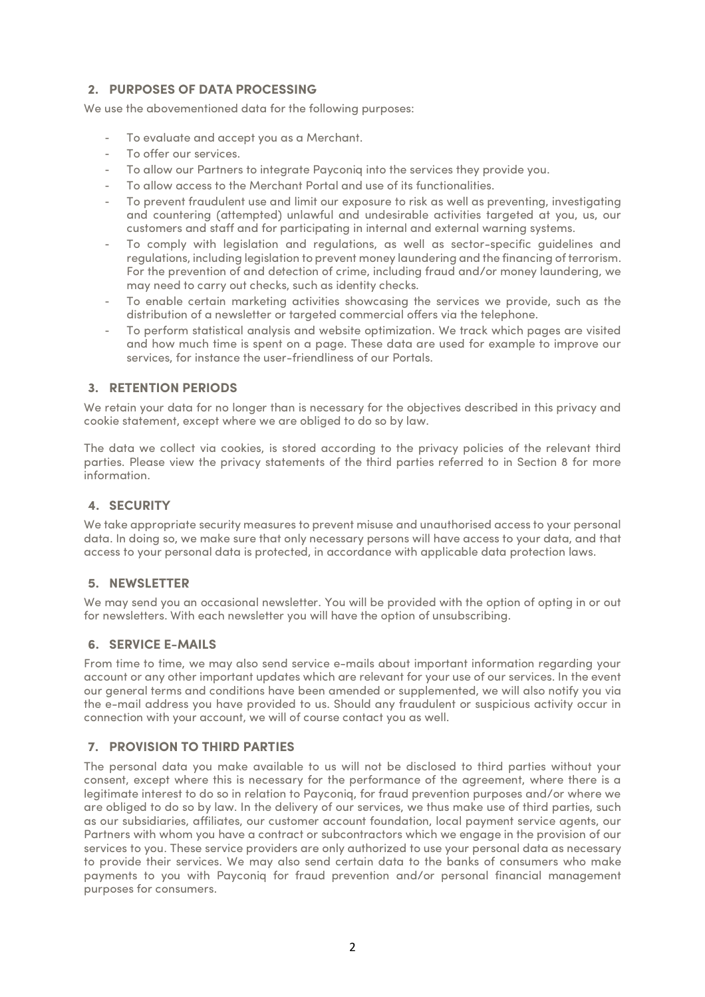## **2. PURPOSES OF DATA PROCESSING**

We use the abovementioned data for the following purposes:

- To evaluate and accept you as a Merchant.
- To offer our services.
- To allow our Partners to integrate Payconiq into the services they provide you.
- To allow access to the Merchant Portal and use of its functionalities.
- To prevent fraudulent use and limit our exposure to risk as well as preventing, investigating and countering (attempted) unlawful and undesirable activities targeted at you, us, our customers and staff and for participating in internal and external warning systems.
- To comply with legislation and regulations, as well as sector-specific guidelines and regulations, including legislation to prevent money laundering and the financing of terrorism. For the prevention of and detection of crime, including fraud and/or money laundering, we may need to carry out checks, such as identity checks.
- To enable certain marketing activities showcasing the services we provide, such as the distribution of a newsletter or targeted commercial offers via the telephone.
- To perform statistical analysis and website optimization. We track which pages are visited and how much time is spent on a page. These data are used for example to improve our services, for instance the user-friendliness of our Portals.

## **3. RETENTION PERIODS**

We retain your data for no longer than is necessary for the objectives described in this privacy and cookie statement, except where we are obliged to do so by law.

The data we collect via cookies, is stored according to the privacy policies of the relevant third parties. Please view the privacy statements of the third parties referred to in Section 8 for more information.

## **4. SECURITY**

We take appropriate security measures to prevent misuse and unauthorised access to your personal data. In doing so, we make sure that only necessary persons will have access to your data, and that access to your personal data is protected, in accordance with applicable data protection laws.

## **5. NEWSLETTER**

We may send you an occasional newsletter. You will be provided with the option of opting in or out for newsletters. With each newsletter you will have the option of unsubscribing.

#### **6. SERVICE E-MAILS**

From time to time, we may also send service e-mails about important information regarding your account or any other important updates which are relevant for your use of our services. In the event our general terms and conditions have been amended or supplemented, we will also notify you via the e-mail address you have provided to us. Should any fraudulent or suspicious activity occur in connection with your account, we will of course contact you as well.

## **7. PROVISION TO THIRD PARTIES**

The personal data you make available to us will not be disclosed to third parties without your consent, except where this is necessary for the performance of the agreement, where there is a legitimate interest to do so in relation to Payconiq, for fraud prevention purposes and/or where we are obliged to do so by law. In the delivery of our services, we thus make use of third parties, such as our subsidiaries, affiliates, our customer account foundation, local payment service agents, our Partners with whom you have a contract or subcontractors which we engage in the provision of our services to you. These service providers are only authorized to use your personal data as necessary to provide their services. We may also send certain data to the banks of consumers who make payments to you with Payconiq for fraud prevention and/or personal financial management purposes for consumers.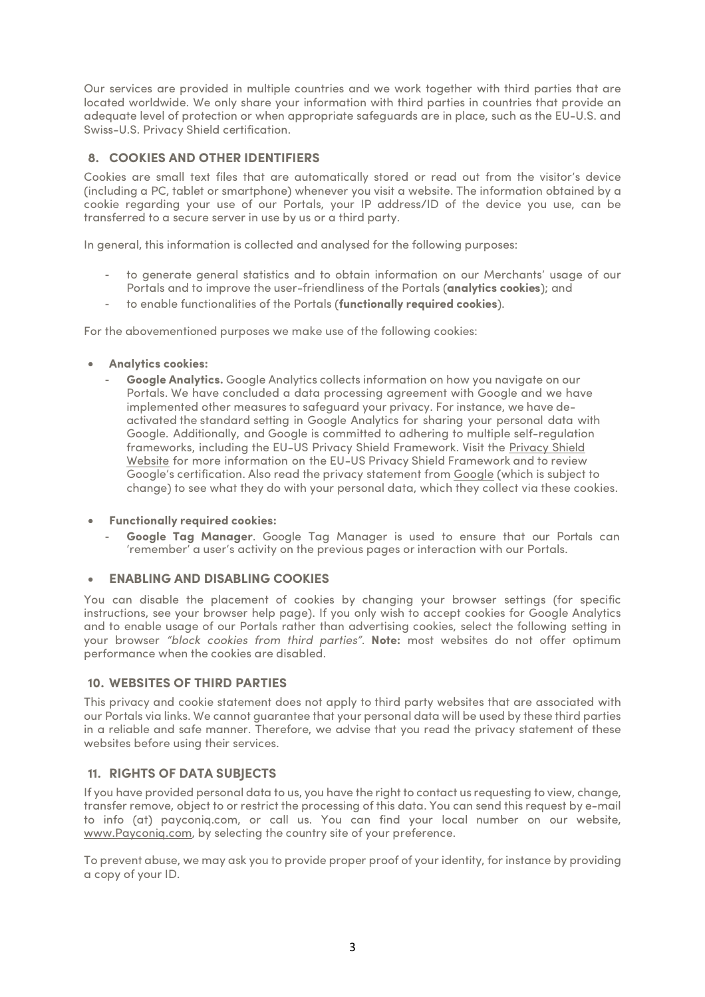Our services are provided in multiple countries and we work together with third parties that are located worldwide. We only share your information with third parties in countries that provide an adequate level of protection or when appropriate safeguards are in place, such as the EU-U.S. and Swiss-U.S. Privacy Shield certification.

## **8. COOKIES AND OTHER IDENTIFIERS**

Cookies are small text files that are automatically stored or read out from the visitor's device (including a PC, tablet or smartphone) whenever you visit a website. The information obtained by a cookie regarding your use of our Portals, your IP address/ID of the device you use, can be transferred to a secure server in use by us or a third party.

In general, this information is collected and analysed for the following purposes:

- to generate general statistics and to obtain information on our Merchants' usage of our Portals and to improve the user-friendliness of the Portals (**analytics cookies**); and
- to enable functionalities of the Portals (**functionally required cookies**).

For the abovementioned purposes we make use of the following cookies:

- **Analytics cookies:**
	- **Google Analytics.** Google Analytics collects information on how you navigate on our Portals. We have concluded a data processing agreement with Google and we have implemented other measures to safeguard your privacy. For instance, we have deactivated the standard setting in Google Analytics for sharing your personal data with Google. Additionally, and Google is committed to adhering to multiple self-regulation [frameworks, including the EU-US Privacy Shield Framework. Visit the Privacy](https://www.privacyshield.gov/participant?id=a2zt000000001L5AAI&status=Active) Shield Website for more information on the EU-US Privacy Shield Framework and to review Google's certification. Also read the privacy statement from [Google](https://www.google.nl/intl/nl/policies/privacy/) (which is subject to change) to see what they do with your personal data, which they collect via these cookies.

#### • **Functionally required cookies:**

- **Google Tag Manager**. Google Tag Manager is used to ensure that our Portals can 'remember' a user's activity on the previous pages or interaction with our Portals.

#### • **ENABLING AND DISABLING COOKIES**

You can disable the placement of cookies by changing your browser settings (for specific instructions, see your browser help page). If you only wish to accept cookies for Google Analytics and to enable usage of our Portals rather than advertising cookies, select the following setting in your browser *"block cookies from third parties"*. **Note:** most websites do not offer optimum performance when the cookies are disabled.

#### **10. WEBSITES OF THIRD PARTIES**

This privacy and cookie statement does not apply to third party websites that are associated with our Portals via links. We cannot guarantee that your personal data will be used by these third parties in a reliable and safe manner. Therefore, we advise that you read the privacy statement of these websites before using their services.

#### **11. RIGHTS OF DATA SUBJECTS**

If you have provided personal data to us, you have the right to contact us requesting to view, change, transfer remove, object to or restrict the processing of this data. You can send this request by e-mail to info (at) payconiq.com, or call us. You can find your local number on our website, www.Payconig.com, by selecting the country site of your preference.

To prevent abuse, we may ask you to provide proper proof of your identity, for instance by providing a copy of your ID.